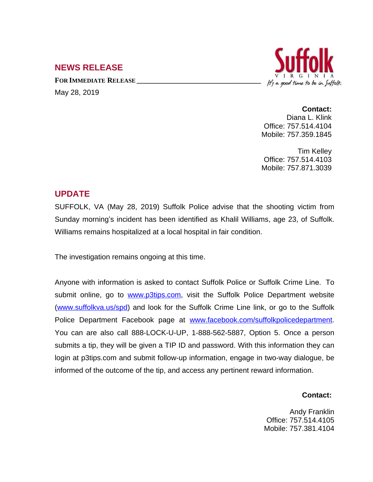## **NEWS RELEASE**

**FOR IMMEDIATE RELEASE \_\_\_\_\_\_\_\_\_\_\_\_\_\_\_\_\_\_\_\_\_\_\_\_\_\_\_\_\_\_\_\_\_\_** May 28, 2019



**Contact:** Diana L. Klink Office: 757.514.4104 Mobile: 757.359.1845

Tim Kelley Office: 757.514.4103 Mobile: 757.871.3039

## **UPDATE**

SUFFOLK, VA (May 28, 2019) Suffolk Police advise that the shooting victim from Sunday morning's incident has been identified as Khalil Williams, age 23, of Suffolk. Williams remains hospitalized at a local hospital in fair condition.

The investigation remains ongoing at this time.

Anyone with information is asked to contact Suffolk Police or Suffolk Crime Line. To submit online, go to [www.p3tips.com](http://www.p3tips.com), visit the Suffolk Police Department website ([www.suffolkva.us/spd](http://www.suffolkva.us/spd)) and look for the Suffolk Crime Line link, or go to the Suffolk Police Department Facebook page at [www.facebook.com/suffolkpolicedepartment.](http://www.facebook.com/suffolkpolicedepartment) You can are also call 888-LOCK-U-UP, 1-888-562-5887, Option 5. Once a person submits a tip, they will be given a TIP ID and password. With this information they can login at p3tips.com and submit follow-up information, engage in two-way dialogue, be informed of the outcome of the tip, and access any pertinent reward information.

## **Contact:**

Andy Franklin Office: 757.514.4105 Mobile: 757.381.4104